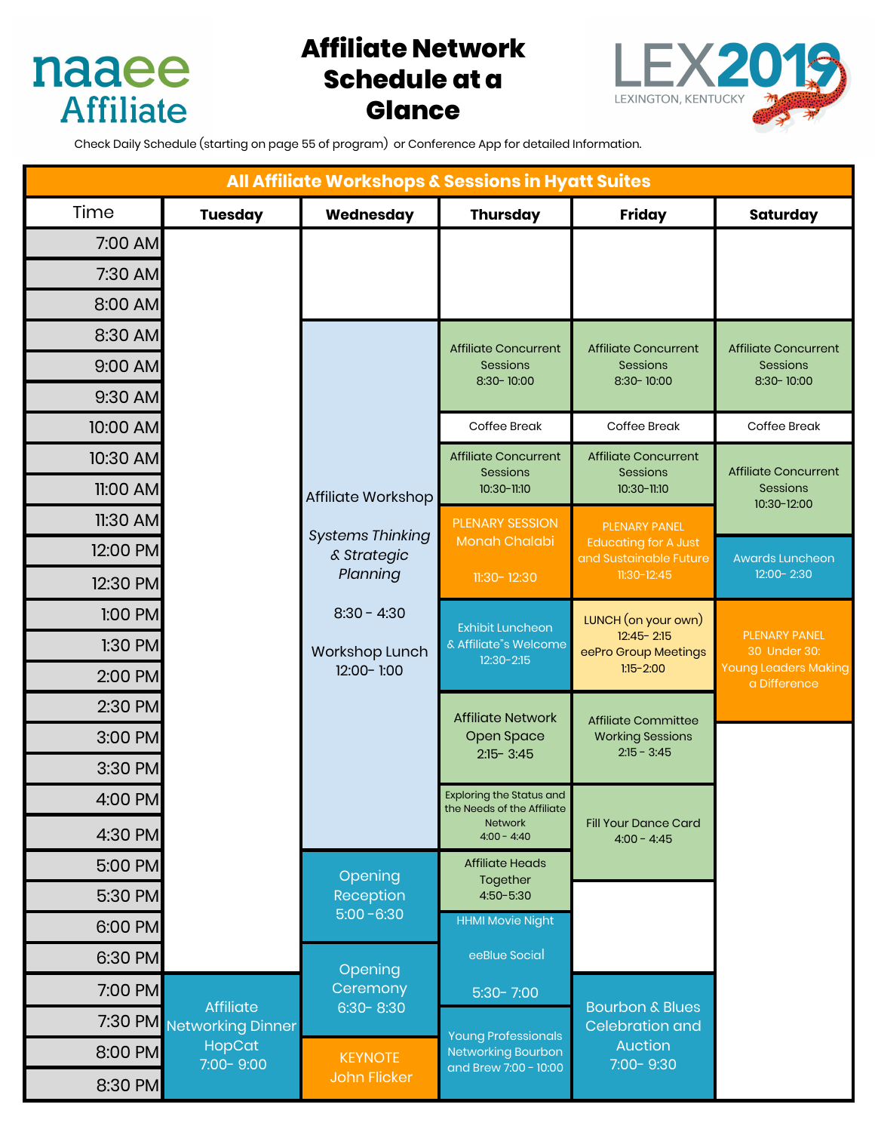

# **Affiliate Network Schedule at a Glance**



Check Daily Schedule (starting on page 55 of program) or Conference App for detailed Information.

| All Affiliate Workshops & Sessions in Hyatt Suites |                                                                      |                                                    |                                                                                  |                                                                                                |                                                                                     |
|----------------------------------------------------|----------------------------------------------------------------------|----------------------------------------------------|----------------------------------------------------------------------------------|------------------------------------------------------------------------------------------------|-------------------------------------------------------------------------------------|
| Time                                               | <b>Tuesday</b>                                                       | Wednesday                                          | <b>Thursday</b>                                                                  | <b>Friday</b>                                                                                  | <b>Saturday</b>                                                                     |
| 7:00 AM                                            |                                                                      |                                                    |                                                                                  |                                                                                                |                                                                                     |
| 7:30 AM                                            |                                                                      |                                                    |                                                                                  |                                                                                                |                                                                                     |
| 8:00 AM                                            |                                                                      |                                                    |                                                                                  |                                                                                                |                                                                                     |
| 8:30 AM                                            |                                                                      |                                                    | <b>Affiliate Concurrent</b>                                                      | <b>Affiliate Concurrent</b>                                                                    | <b>Affiliate Concurrent</b>                                                         |
| 9:00 AM                                            |                                                                      |                                                    | Sessions<br>8:30-10:00                                                           | <b>Sessions</b><br>8:30-10:00                                                                  | Sessions<br>8:30-10:00                                                              |
| 9:30 AM                                            |                                                                      |                                                    |                                                                                  |                                                                                                |                                                                                     |
| 10:00 AM                                           |                                                                      |                                                    | Coffee Break                                                                     | Coffee Break                                                                                   | Coffee Break                                                                        |
| 10:30 AM                                           |                                                                      | Affiliate Workshop                                 | <b>Affiliate Concurrent</b><br>Sessions<br>10:30-11:10                           | <b>Affiliate Concurrent</b><br>Sessions<br>10:30-11:10                                         | <b>Affiliate Concurrent</b><br>Sessions<br>10:30-12:00                              |
| 11:00 AM                                           |                                                                      |                                                    |                                                                                  |                                                                                                |                                                                                     |
| 11:30 AM                                           |                                                                      |                                                    | <b>PLENARY SESSION</b><br>Monah Chalabi<br>11:30-12:30                           | <b>PLENARY PANEL</b><br><b>Educating for A Just</b><br>and Sustainable Future<br>$11:30-12:45$ |                                                                                     |
| 12:00 PM                                           |                                                                      | <b>Systems Thinking</b><br>& Strategic<br>Planning |                                                                                  |                                                                                                | <b>Awards Luncheon</b><br>12:00-2:30                                                |
| 12:30 PM                                           |                                                                      |                                                    |                                                                                  |                                                                                                |                                                                                     |
| 1:00 PM                                            |                                                                      | $8:30 - 4:30$                                      | <b>Exhibit Luncheon</b>                                                          | LUNCH (on your own)                                                                            |                                                                                     |
| $1:30$ PM                                          |                                                                      | Workshop Lunch<br>12:00-1:00                       | & Affiliate"s Welcome<br>$12:30 - 2:15$                                          | $12:45 - 2:15$<br>eePro Group Meetings<br>$1:15 - 2:00$                                        | <b>PLENARY PANEL</b><br>30 Under 30:<br><b>Young Leaders Making</b><br>a Difference |
| 2:00 PM                                            |                                                                      |                                                    |                                                                                  |                                                                                                |                                                                                     |
| 2:30 PM                                            |                                                                      |                                                    | <b>Affiliate Network</b><br><b>Open Space</b><br>$2:15 - 3:45$                   | <b>Affiliate Committee</b><br><b>Working Sessions</b><br>$2:15 - 3:45$                         |                                                                                     |
| 3:00 PM                                            |                                                                      |                                                    |                                                                                  |                                                                                                |                                                                                     |
| 3:30 PM                                            |                                                                      |                                                    |                                                                                  |                                                                                                |                                                                                     |
| 4:00 PM                                            |                                                                      |                                                    | <b>Exploring the Status and</b><br>the Needs of the Affiliate                    |                                                                                                |                                                                                     |
| 4:30 PM                                            |                                                                      |                                                    | <b>Network</b><br>$4:00 - 4:40$                                                  | <b>Fill Your Dance Card</b><br>$4:00 - 4:45$                                                   |                                                                                     |
| 5:00 PM                                            |                                                                      | Opening                                            | <b>Affiliate Heads</b>                                                           |                                                                                                |                                                                                     |
| 5:30 PM                                            |                                                                      | Reception                                          | Together<br>4:50-5:30                                                            |                                                                                                |                                                                                     |
| 6:00 PM                                            |                                                                      | $5:00 - 6:30$                                      | <b>HHMI Movie Night</b>                                                          |                                                                                                |                                                                                     |
| 6:30 PM                                            |                                                                      | Opening                                            | eeBlue Social                                                                    |                                                                                                |                                                                                     |
| 7:00 PM                                            | <b>Affiliate</b><br>7:30 PM Networking Dinner<br>HopCat<br>7:00-9:00 | Ceremony                                           | $5:30 - 7:00$                                                                    | <b>Bourbon &amp; Blues</b><br><b>Celebration and</b>                                           |                                                                                     |
|                                                    |                                                                      | $6:30 - 8:30$                                      | <b>Young Professionals</b><br><b>Networking Bourbon</b><br>and Brew 7:00 - 10:00 |                                                                                                |                                                                                     |
| 8:00 PM                                            |                                                                      | <b>KEYNOTE</b><br>John Flicker                     |                                                                                  | Auction<br>7:00-9:30                                                                           |                                                                                     |
| 8:30 PM                                            |                                                                      |                                                    |                                                                                  |                                                                                                |                                                                                     |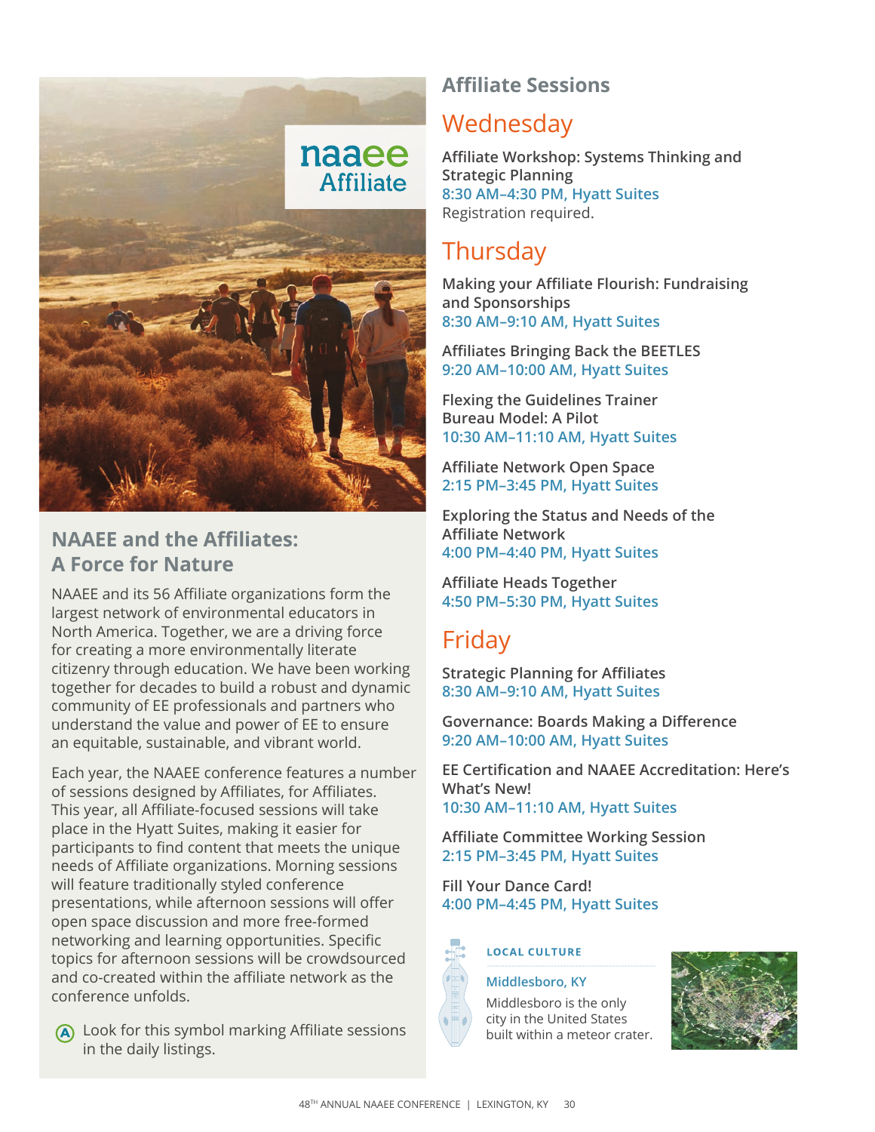

### **NAAEE and the Affiliates: A Force for Nature**

NAAEE and its 56 Affiliate organizations form the largest network of environmental educators in North America. Together, we are a driving force for creating a more environmentally literate citizenry through education. We have been working together for decades to build a robust and dynamic community of EE professionals and partners who understand the value and power of EE to ensure an equitable, sustainable, and vibrant world.

Each year, the NAAEE conference features a number of sessions designed by Affiliates, for Affiliates. This year, all Affiliate-focused sessions will take place in the Hyatt Suites, making it easier for participants to find content that meets the unique needs of Affiliate organizations. Morning sessions will feature traditionally styled conference presentations, while afternoon sessions will offer open space discussion and more free-formed networking and learning opportunities. Specific topics for afternoon sessions will be crowdsourced and co-created within the affiliate network as the conference unfolds.

# **Wednesday**

**Affiliate Workshop: Systems Thinking and Strategic Planning 8:30 AM–4:30 PM, Hyatt Suites** Registration required.

## **Thursday**

**Affiliate Sessions** 

**Making your Affiliate Flourish: Fundraising and Sponsorships 8:30 AM–9:10 AM, Hyatt Suites**

**Affiliates Bringing Back the BEETLES 9:20 AM–10:00 AM, Hyatt Suites**

**Flexing the Guidelines Trainer Bureau Model: A Pilot 10:30 AM–11:10 AM, Hyatt Suites**

**Affiliate Network Open Space 2:15 PM–3:45 PM, Hyatt Suites**

**Exploring the Status and Needs of the Affiliate Network 4:00 PM–4:40 PM, Hyatt Suites**

**Affiliate Heads Together 4:50 PM–5:30 PM, Hyatt Suites**

### Friday

**Strategic Planning for Affiliates 8:30 AM–9:10 AM, Hyatt Suites**

**Governance: Boards Making a Difference 9:20 AM–10:00 AM, Hyatt Suites**

**EE Certification and NAAEE Accreditation: Here's What's New! 10:30 AM–11:10 AM, Hyatt Suites**

**Affiliate Committee Working Session 2:15 PM–3:45 PM, Hyatt Suites**

**Fill Your Dance Card! 4:00 PM–4:45 PM, Hyatt Suites**



#### **LOCAL CULTURE**

#### **Middlesboro, KY**

Middlesboro is the only city in the United States built within a meteor crater.



A Look for this symbol marking Affiliate sessions in the daily listings.